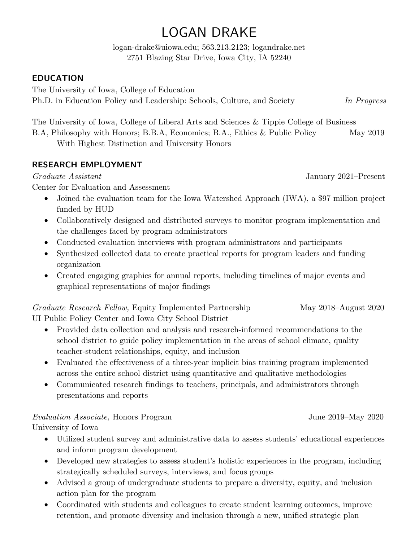# LOGAN DRAKE

logan-drake@uiowa.edu; 563.213.2123; logandrake.net 2751 Blazing Star Drive, Iowa City, IA 52240

## **EDUCATION**

The University of Iowa, College of Education Ph.D. in Education Policy and Leadership: Schools, Culture, and Society *In Progress*

The University of Iowa, College of Liberal Arts and Sciences & Tippie College of Business

B.A, Philosophy with Honors; B.B.A, Economics; B.A., Ethics & Public Policy May 2019 With Highest Distinction and University Honors

# **RESEARCH EMPLOYMENT**

Center for Evaluation and Assessment

- Joined the evaluation team for the Iowa Watershed Approach (IWA), a \$97 million project funded by HUD
- Collaboratively designed and distributed surveys to monitor program implementation and the challenges faced by program administrators
- Conducted evaluation interviews with program administrators and participants
- Synthesized collected data to create practical reports for program leaders and funding organization
- Created engaging graphics for annual reports, including timelines of major events and graphical representations of major findings

*Graduate Research Fellow,* Equity Implemented Partnership May 2018–August 2020 UI Public Policy Center and Iowa City School District

- Provided data collection and analysis and research-informed recommendations to the school district to guide policy implementation in the areas of school climate, quality teacher-student relationships, equity, and inclusion
- Evaluated the effectiveness of a three-year implicit bias training program implemented across the entire school district using quantitative and qualitative methodologies
- Communicated research findings to teachers, principals, and administrators through presentations and reports

# *Evaluation Associate,* Honors Program June 2019–May 2020

University of Iowa

- Utilized student survey and administrative data to assess students' educational experiences and inform program development
- Developed new strategies to assess student's holistic experiences in the program, including strategically scheduled surveys, interviews, and focus groups
- Advised a group of undergraduate students to prepare a diversity, equity, and inclusion action plan for the program
- Coordinated with students and colleagues to create student learning outcomes, improve retention, and promote diversity and inclusion through a new, unified strategic plan

*Graduate Assistant* January 2021–Present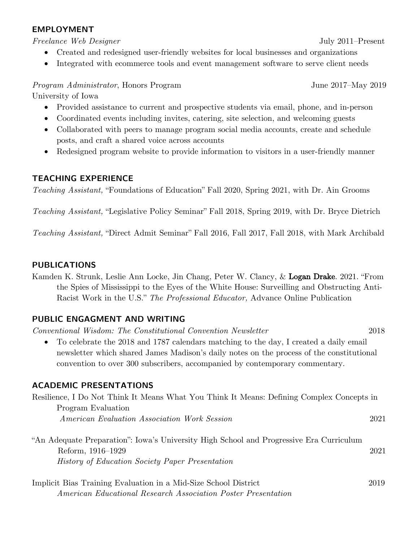#### **EMPLOYMENT**

*Freelance Web Designer* July 2011–Present

- Created and redesigned user-friendly websites for local businesses and organizations
- Integrated with ecommerce tools and event management software to serve client needs

*Program Administrator*, Honors Program June 2017–May 2019

University of Iowa

- Provided assistance to current and prospective students via email, phone, and in-person
- Coordinated events including invites, catering, site selection, and welcoming guests
- Collaborated with peers to manage program social media accounts, create and schedule posts, and craft a shared voice across accounts
- Redesigned program website to provide information to visitors in a user-friendly manner

### **TEACHING EXPERIENCE**

*Teaching Assistant,* "Foundations of Education" Fall 2020, Spring 2021, with Dr. Ain Grooms

*Teaching Assistant,* "Legislative Policy Seminar" Fall 2018, Spring 2019, with Dr. Bryce Dietrich

*Teaching Assistant,* "Direct Admit Seminar" Fall 2016, Fall 2017, Fall 2018, with Mark Archibald

### **PUBLICATIONS**

Kamden K. Strunk, Leslie Ann Locke, Jin Chang, Peter W. Clancy, & Logan Drake. 2021. "From the Spies of Mississippi to the Eyes of the White House: Surveilling and Obstructing Anti-Racist Work in the U.S." *The Professional Educator,* Advance Online Publication

### **PUBLIC ENGAGMENT AND WRITING**

*Conventional Wisdom: The Constitutional Convention Newsletter* 2018 • To celebrate the 2018 and 1787 calendars matching to the day, I created a daily email newsletter which shared James Madison's daily notes on the process of the constitutional convention to over 300 subscribers, accompanied by contemporary commentary.

### **ACADEMIC PRESENTATIONS**

| Resilience, I Do Not Think It Means What You Think It Means: Defining Complex Concepts in                                                                              |      |
|------------------------------------------------------------------------------------------------------------------------------------------------------------------------|------|
| Program Evaluation<br>American Evaluation Association Work Session                                                                                                     | 2021 |
| "An Adequate Preparation": Iowa's University High School and Progressive Era Curriculum<br>Reform, 1916–1929<br><i>History of Education Society Paper Presentation</i> | 2021 |
| Implicit Bias Training Evaluation in a Mid-Size School District                                                                                                        | 2019 |

*American Educational Research Association Poster Presentation*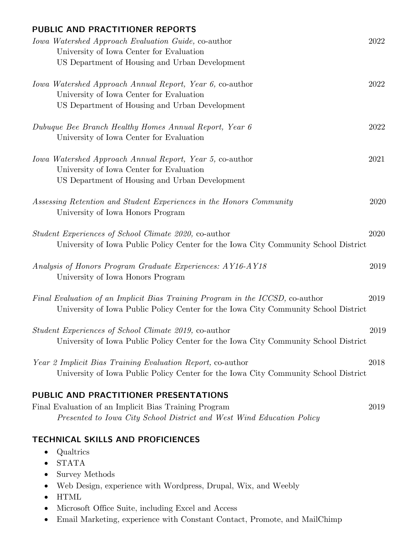| PUBLIC AND PRACTITIONER REPORTS                                                     |      |
|-------------------------------------------------------------------------------------|------|
| Iowa Watershed Approach Evaluation Guide, co-author                                 | 2022 |
| University of Iowa Center for Evaluation                                            |      |
| US Department of Housing and Urban Development                                      |      |
| Iowa Watershed Approach Annual Report, Year 6, co-author                            | 2022 |
| University of Iowa Center for Evaluation                                            |      |
| US Department of Housing and Urban Development                                      |      |
| Dubuque Bee Branch Healthy Homes Annual Report, Year 6                              | 2022 |
| University of Iowa Center for Evaluation                                            |      |
| <i>Iowa Watershed Approach Annual Report, Year 5, co-author</i>                     | 2021 |
| University of Iowa Center for Evaluation                                            |      |
| US Department of Housing and Urban Development                                      |      |
| Assessing Retention and Student Experiences in the Honors Community                 | 2020 |
| University of Iowa Honors Program                                                   |      |
| <i>Student Experiences of School Climate 2020, co-author</i>                        | 2020 |
| University of Iowa Public Policy Center for the Iowa City Community School District |      |
| Analysis of Honors Program Graduate Experiences: AY16-AY18                          | 2019 |
| University of Iowa Honors Program                                                   |      |
| Final Evaluation of an Implicit Bias Training Program in the ICCSD, co-author       | 2019 |
| University of Iowa Public Policy Center for the Iowa City Community School District |      |
| <i>Student Experiences of School Climate 2019, co-author</i>                        | 2019 |
| University of Iowa Public Policy Center for the Iowa City Community School District |      |
| Year 2 Implicit Bias Training Evaluation Report, co-author                          | 2018 |
| University of Iowa Public Policy Center for the Iowa City Community School District |      |
| PUBLIC AND PRACTITIONER PRESENTATIONS                                               |      |
| Final Evaluation of an Implicit Bias Training Program                               | 2019 |
| Presented to Iowa City School District and West Wind Education Policy               |      |
| <b>TECHNICAL SKILLS AND PROFICIENCES</b>                                            |      |
| Qualtrics                                                                           |      |
| <b>STATA</b>                                                                        |      |
| <b>Survey Methods</b>                                                               |      |
| Web Design, experience with Wordpress, Drupal, Wix, and Weebly<br>٠                 |      |
| <b>HTML</b><br>Microsoft Office Suite, including Excel and Access<br>$\bullet$      |      |
|                                                                                     |      |

• Email Marketing, experience with Constant Contact, Promote, and MailChimp